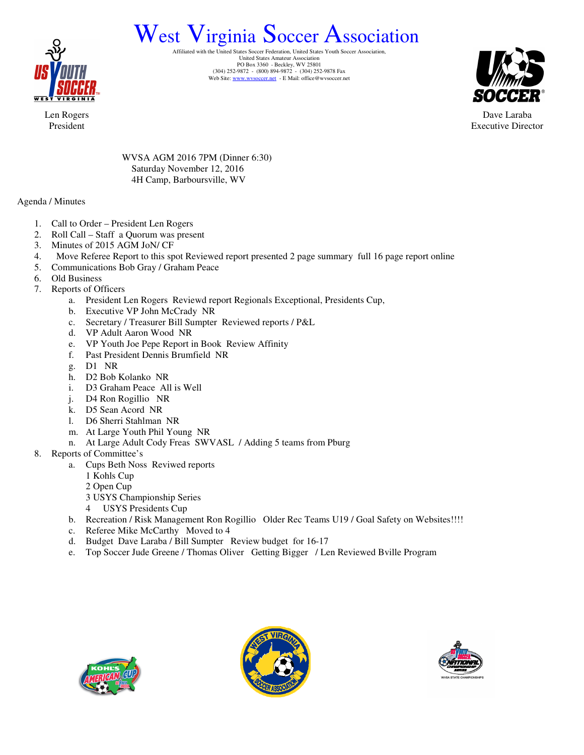

## West Virginia Soccer Association

Affiliated with the United States Soccer Federation, United States Youth Soccer Association, United States Amateur Association PO Box 3360 - Beckley, WV 25801<br>
(304) 252-9872 - (800) 894-9872 - (304) 252-9878 Fax<br>
Web Site: www.wvsoccer.net - E Mail: office@wvsoccer.net



Dave Laraba Executive Director

Len Rogers President

> WVSA AGM 2016 7PM (Dinner 6:30) Saturday November 12, 2016 4H Camp, Barboursville, WV

Agenda / Minutes

- 1. Call to Order President Len Rogers
- 2. Roll Call Staff a Quorum was present
- 3. Minutes of 2015 AGM JoN/ CF
- 4. Move Referee Report to this spot Reviewed report presented 2 page summary full 16 page report online
- 5. Communications Bob Gray / Graham Peace
- 6. Old Business
- 7. Reports of Officers
	- a. President Len Rogers Reviewd report Regionals Exceptional, Presidents Cup,
	- b. Executive VP John McCrady NR
	- c. Secretary / Treasurer Bill Sumpter Reviewed reports / P&L
	- d. VP Adult Aaron Wood NR
	- e. VP Youth Joe Pepe Report in Book Review Affinity
	- f. Past President Dennis Brumfield NR
	- g. D1 NR
	- h. D2 Bob Kolanko NR
	- i. D3 Graham Peace All is Well
	- j. D4 Ron Rogillio NR
	- k. D5 Sean Acord NR
	- l. D6 Sherri Stahlman NR
	- m. At Large Youth Phil Young NR
	- n. At Large Adult Cody Freas SWVASL / Adding 5 teams from Pburg
- 8. Reports of Committee's
	- a. Cups Beth Noss Reviwed reports
		- 1 Kohls Cup
		- 2 Open Cup
		- 3 USYS Championship Series
		- 4 USYS Presidents Cup
		- b. Recreation / Risk Management Ron Rogillio Older Rec Teams U19 / Goal Safety on Websites!!!!
		- c. Referee Mike McCarthy Moved to 4
		- d. Budget Dave Laraba / Bill Sumpter Review budget for 16-17
		- e. Top Soccer Jude Greene / Thomas Oliver Getting Bigger / Len Reviewed Bville Program





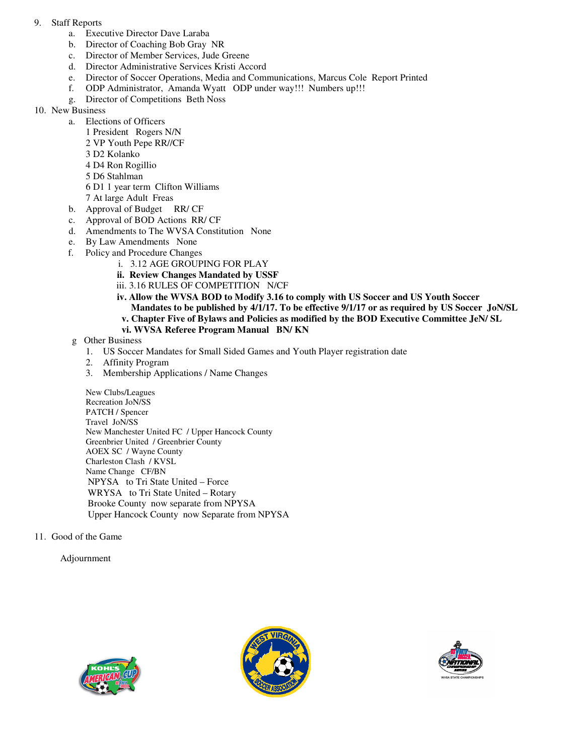- 9. Staff Reports
	- a. Executive Director Dave Laraba
	- b. Director of Coaching Bob Gray NR
	- c. Director of Member Services, Jude Greene
	- d. Director Administrative Services Kristi Accord
	- e. Director of Soccer Operations, Media and Communications, Marcus Cole Report Printed
	- f. ODP Administrator, Amanda Wyatt ODP under way!!! Numbers up!!!
	- g. Director of Competitions Beth Noss
- 10. New Business
	- a. Elections of Officers
		- 1 President Rogers N/N
		- 2 VP Youth Pepe RR//CF
		- 3 D2 Kolanko
		- 4 D4 Ron Rogillio
		- 5 D6 Stahlman
		- 6 D1 1 year term Clifton Williams
		- 7 At large Adult Freas
	- b. Approval of Budget RR/ CF
	- c. Approval of BOD Actions RR/ CF
	- d. Amendments to The WVSA Constitution None
	- e. By Law Amendments None
	- f. Policy and Procedure Changes
		- i. 3.12 AGE GROUPING FOR PLAY
		- **ii. Review Changes Mandated by USSF**
		- iii. 3.16 RULES OF COMPETITION N/CF
		- **iv. Allow the WVSA BOD to Modify 3.16 to comply with US Soccer and US Youth Soccer Mandates to be published by 4/1/17. To be effective 9/1/17 or as required by US Soccer JoN/SL v. Chapter Five of Bylaws and Policies as modified by the BOD Executive Committee JeN/ SL**
		- **vi. WVSA Referee Program Manual BN/ KN**
	- g Other Business
		- 1. US Soccer Mandates for Small Sided Games and Youth Player registration date
		- 2. Affinity Program
		- 3. Membership Applications / Name Changes

New Clubs/Leagues Recreation JoN/SS PATCH / Spencer Travel JoN/SS New Manchester United FC / Upper Hancock County Greenbrier United / Greenbrier County AOEX SC / Wayne County Charleston Clash / KVSL Name Change CF/BN NPYSA to Tri State United – Force WRYSA to Tri State United – Rotary Brooke County now separate from NPYSA Upper Hancock County now Separate from NPYSA

11. Good of the Game

Adjournment